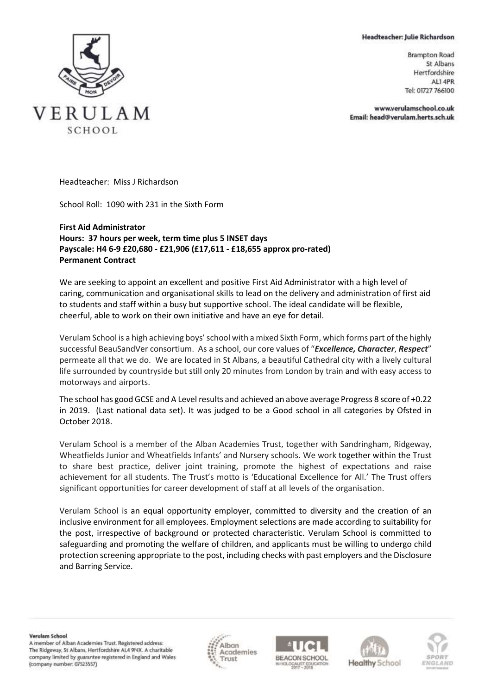Headteacher: Julie Richardson

VERULAM SCHOOL

**Brampton Road** St Albans Hertfordshire AL14PR Tel: 01727 766100

www.verulamschool.co.uk Email: head@verulam.herts.sch.uk

Headteacher: Miss J Richardson

School Roll: 1090 with 231 in the Sixth Form

## **First Aid Administrator Hours: 37 hours per week, term time plus 5 INSET days Payscale: H4 6-9 £20,680 - £21,906 (£17,611 - £18,655 approx pro-rated) Permanent Contract**

We are seeking to appoint an excellent and positive First Aid Administrator with a high level of caring, communication and organisational skills to lead on the delivery and administration of first aid to students and staff within a busy but supportive school. The ideal candidate will be flexible, cheerful, able to work on their own initiative and have an eye for detail.

Verulam School is a high achieving boys' school with a mixed Sixth Form, which forms part of the highly successful BeauSandVer consortium. As a school, our core values of "*Excellence, Character*, *Respect*" permeate all that we do. We are located in St Albans, a beautiful Cathedral city with a lively cultural life surrounded by countryside but still only 20 minutes from London by train and with easy access to motorways and airports.

The school has good GCSE and A Level results and achieved an above average Progress 8 score of +0.22 in 2019. (Last national data set). It was judged to be a Good school in all categories by Ofsted in October 2018.

Verulam School is a member of the Alban Academies Trust, together with Sandringham, Ridgeway, Wheatfields Junior and Wheatfields Infants' and Nursery schools. We work together within the Trust to share best practice, deliver joint training, promote the highest of expectations and raise achievement for all students. The Trust's motto is 'Educational Excellence for All.' The Trust offers significant opportunities for career development of staff at all levels of the organisation.

Verulam School is an equal opportunity employer, committed to diversity and the creation of an inclusive environment for all employees. Employment selections are made according to suitability for the post, irrespective of background or protected characteristic. Verulam School is committed to safeguarding and promoting the welfare of children, and applicants must be willing to undergo child protection screening appropriate to the post, including checks with past employers and the Disclosure and Barring Service.

Verulam School A member of Alban Academies Trust. Registered address: The Ridgeway, St Albans, Hertfordshire AL4 9NX. A charitable company limited by guarantee registered in England and Wales (company number: 07523557)